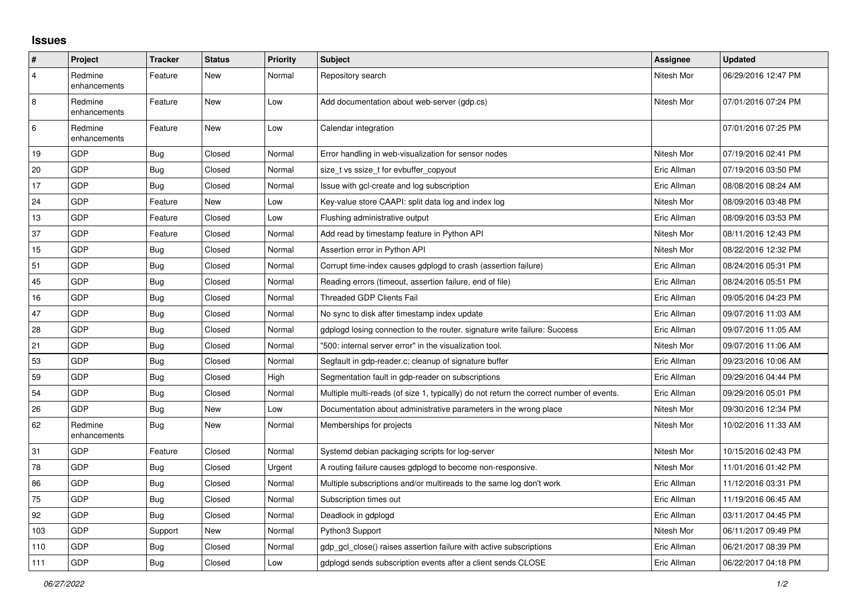## **Issues**

| ∦              | Project                 | <b>Tracker</b> | <b>Status</b> | <b>Priority</b> | <b>Subject</b>                                                                          | Assignee    | <b>Updated</b>      |
|----------------|-------------------------|----------------|---------------|-----------------|-----------------------------------------------------------------------------------------|-------------|---------------------|
| $\overline{4}$ | Redmine<br>enhancements | Feature        | New           | Normal          | Repository search                                                                       | Nitesh Mor  | 06/29/2016 12:47 PM |
| 8              | Redmine<br>enhancements | Feature        | New           | Low             | Add documentation about web-server (gdp.cs)                                             | Nitesh Mor  | 07/01/2016 07:24 PM |
| $\,6\,$        | Redmine<br>enhancements | Feature        | New           | Low             | Calendar integration                                                                    |             | 07/01/2016 07:25 PM |
| 19             | GDP                     | <b>Bug</b>     | Closed        | Normal          | Error handling in web-visualization for sensor nodes                                    | Nitesh Mor  | 07/19/2016 02:41 PM |
| 20             | GDP                     | <b>Bug</b>     | Closed        | Normal          | size_t vs ssize_t for evbuffer_copyout                                                  | Eric Allman | 07/19/2016 03:50 PM |
| 17             | GDP                     | <b>Bug</b>     | Closed        | Normal          | Issue with gcl-create and log subscription                                              | Eric Allman | 08/08/2016 08:24 AM |
| 24             | GDP                     | Feature        | New           | Low             | Key-value store CAAPI: split data log and index log                                     | Nitesh Mor  | 08/09/2016 03:48 PM |
| 13             | GDP                     | Feature        | Closed        | Low             | Flushing administrative output                                                          | Eric Allman | 08/09/2016 03:53 PM |
| 37             | GDP                     | Feature        | Closed        | Normal          | Add read by timestamp feature in Python API                                             | Nitesh Mor  | 08/11/2016 12:43 PM |
| 15             | GDP                     | <b>Bug</b>     | Closed        | Normal          | Assertion error in Python API                                                           | Nitesh Mor  | 08/22/2016 12:32 PM |
| 51             | GDP                     | <b>Bug</b>     | Closed        | Normal          | Corrupt time-index causes gdplogd to crash (assertion failure)                          | Eric Allman | 08/24/2016 05:31 PM |
| 45             | GDP                     | Bug            | Closed        | Normal          | Reading errors (timeout, assertion failure, end of file)                                | Eric Allman | 08/24/2016 05:51 PM |
| 16             | GDP                     | Bug            | Closed        | Normal          | <b>Threaded GDP Clients Fail</b>                                                        | Eric Allman | 09/05/2016 04:23 PM |
| 47             | GDP                     | <b>Bug</b>     | Closed        | Normal          | No sync to disk after timestamp index update                                            | Eric Allman | 09/07/2016 11:03 AM |
| 28             | GDP                     | <b>Bug</b>     | Closed        | Normal          | gdplogd losing connection to the router. signature write failure: Success               | Eric Allman | 09/07/2016 11:05 AM |
| 21             | GDP                     | <b>Bug</b>     | Closed        | Normal          | "500: internal server error" in the visualization tool.                                 | Nitesh Mor  | 09/07/2016 11:06 AM |
| 53             | GDP                     | <b>Bug</b>     | Closed        | Normal          | Segfault in gdp-reader.c; cleanup of signature buffer                                   | Eric Allman | 09/23/2016 10:06 AM |
| 59             | GDP                     | <b>Bug</b>     | Closed        | High            | Segmentation fault in gdp-reader on subscriptions                                       | Eric Allman | 09/29/2016 04:44 PM |
| 54             | GDP                     | <b>Bug</b>     | Closed        | Normal          | Multiple multi-reads (of size 1, typically) do not return the correct number of events. | Eric Allman | 09/29/2016 05:01 PM |
| 26             | GDP                     | <b>Bug</b>     | New           | Low             | Documentation about administrative parameters in the wrong place                        | Nitesh Mor  | 09/30/2016 12:34 PM |
| 62             | Redmine<br>enhancements | <b>Bug</b>     | New           | Normal          | Memberships for projects                                                                | Nitesh Mor  | 10/02/2016 11:33 AM |
| 31             | GDP                     | Feature        | Closed        | Normal          | Systemd debian packaging scripts for log-server                                         | Nitesh Mor  | 10/15/2016 02:43 PM |
| 78             | GDP                     | <b>Bug</b>     | Closed        | Urgent          | A routing failure causes gdplogd to become non-responsive.                              | Nitesh Mor  | 11/01/2016 01:42 PM |
| 86             | GDP                     | <b>Bug</b>     | Closed        | Normal          | Multiple subscriptions and/or multireads to the same log don't work                     | Eric Allman | 11/12/2016 03:31 PM |
| 75             | GDP                     | <b>Bug</b>     | Closed        | Normal          | Subscription times out                                                                  | Eric Allman | 11/19/2016 06:45 AM |
| 92             | GDP                     | <b>Bug</b>     | Closed        | Normal          | Deadlock in gdplogd                                                                     | Eric Allman | 03/11/2017 04:45 PM |
| 103            | GDP                     | Support        | New           | Normal          | Python3 Support                                                                         | Nitesh Mor  | 06/11/2017 09:49 PM |
| 110            | GDP                     | <b>Bug</b>     | Closed        | Normal          | gdp gcl close() raises assertion failure with active subscriptions                      | Eric Allman | 06/21/2017 08:39 PM |
| 111            | GDP                     | <b>Bug</b>     | Closed        | Low             | adpload sends subscription events after a client sends CLOSE                            | Eric Allman | 06/22/2017 04:18 PM |